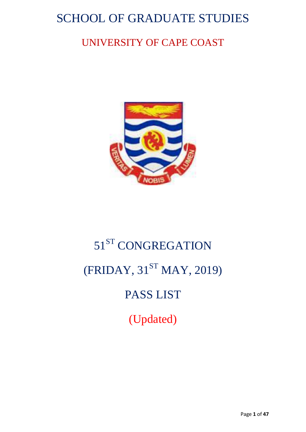# SCHOOL OF GRADUATE STUDIES

# UNIVERSITY OF CAPE COAST



# 51<sup>ST</sup> CONGREGATION  $(FRIDAY, 31^{ST}$  MAY, 2019) PASS LIST (Updated)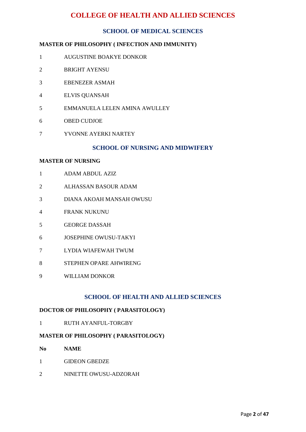# **COLLEGE OF HEALTH AND ALLIED SCIENCES**

# **SCHOOL OF MEDICAL SCIENCES**

# **MASTER OF PHILOSOPHY ( INFECTION AND IMMUNITY)**

- AUGUSTINE BOAKYE DONKOR
- BRIGHT AYENSU
- EBENEZER ASMAH
- ELVIS QUANSAH
- EMMANUELA LELEN AMINA AWULLEY
- OBED CUDJOE
- YVONNE AYERKI NARTEY

# **SCHOOL OF NURSING AND MIDWIFERY**

#### **MASTER OF NURSING**

- ADAM ABDUL AZIZ
- ALHASSAN BASOUR ADAM
- DIANA AKOAH MANSAH OWUSU
- FRANK NUKUNU
- GEORGE DASSAH
- JOSEPHINE OWUSU-TAKYI
- LYDIA WIAFEWAH TWUM
- STEPHEN OPARE AHWIRENG
- WILLIAM DONKOR

# **SCHOOL OF HEALTH AND ALLIED SCIENCES**

#### **DOCTOR OF PHILOSOPHY ( PARASITOLOGY)**

RUTH AYANFUL-TORGBY

#### **MASTER OF PHILOSOPHY ( PARASITOLOGY)**

- **No NAME**
- GIDEON GBEDZE
- NINETTE OWUSU-ADZORAH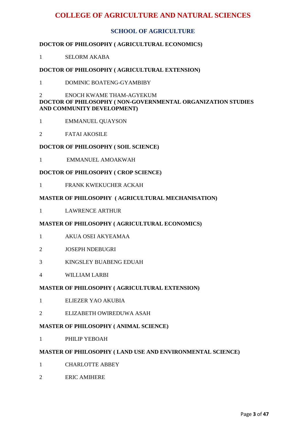# **COLLEGE OF AGRICULTURE AND NATURAL SCIENCES**

# **SCHOOL OF AGRICULTURE**

# **DOCTOR OF PHILOSOPHY ( AGRICULTURAL ECONOMICS)**

1 SELORM AKABA

# **DOCTOR OF PHILOSOPHY ( AGRICULTURAL EXTENSION)**

1 DOMINIC BOATENG-GYAMBIBY

# 2 ENOCH KWAME THAM-AGYEKUM **DOCTOR OF PHILOSOPHY ( NON-GOVERNMENTAL ORGANIZATION STUDIES AND COMMUNITY DEVELOPMENT)**

- 1 EMMANUEL QUAYSON
- 2 FATAI AKOSILE

#### **DOCTOR OF PHILOSOPHY ( SOIL SCIENCE)**

1 EMMANUEL AMOAKWAH

# **DOCTOR OF PHILOSOPHY ( CROP SCIENCE)**

1 FRANK KWEKUCHER ACKAH

# **MASTER OF PHILOSOPHY ( AGRICULTURAL MECHANISATION)**

1 LAWRENCE ARTHUR

#### **MASTER OF PHILOSOPHY ( AGRICULTURAL ECONOMICS)**

- 1 AKUA OSEI AKYEAMAA
- 2 JOSEPH NDEBUGRI
- 3 KINGSLEY BUABENG EDUAH
- 4 WILLIAM LARBI

#### **MASTER OF PHILOSOPHY ( AGRICULTURAL EXTENSION)**

- 1 ELIEZER YAO AKUBIA
- 2 ELIZABETH OWIREDUWA ASAH

#### **MASTER OF PHILOSOPHY ( ANIMAL SCIENCE)**

1 PHILIP YEBOAH

## **MASTER OF PHILOSOPHY ( LAND USE AND ENVIRONMENTAL SCIENCE)**

- 1 CHARLOTTE ABBEY
- 2 ERIC AMIHERE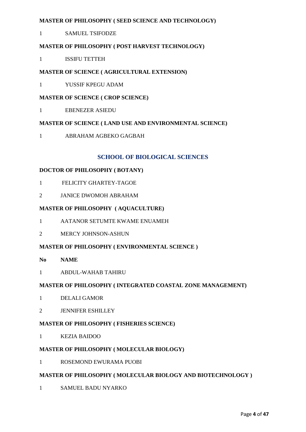# **MASTER OF PHILOSOPHY ( SEED SCIENCE AND TECHNOLOGY)**

1 SAMUEL TSIFODZE

# **MASTER OF PHILOSOPHY ( POST HARVEST TECHNOLOGY)**

1 ISSIFU TETTEH

# **MASTER OF SCIENCE ( AGRICULTURAL EXTENSION)**

1 YUSSIF KPEGU ADAM

# **MASTER OF SCIENCE ( CROP SCIENCE)**

1 EBENEZER ASIEDU

# **MASTER OF SCIENCE ( LAND USE AND ENVIRONMENTAL SCIENCE)**

1 ABRAHAM AGBEKO GAGBAH

# **SCHOOL OF BIOLOGICAL SCIENCES**

# **DOCTOR OF PHILOSOPHY ( BOTANY)**

- 1 FELICITY GHARTEY-TAGOE
- 2 JANICE DWOMOH ABRAHAM

# **MASTER OF PHILOSOPHY ( AQUACULTURE)**

- 1 AATANOR SETUMTE KWAME ENUAMEH
- 2 MERCY JOHNSON-ASHUN

# **MASTER OF PHILOSOPHY ( ENVIRONMENTAL SCIENCE )**

- **No NAME**
- 1 ABDUL-WAHAB TAHIRU

# **MASTER OF PHILOSOPHY ( INTEGRATED COASTAL ZONE MANAGEMENT)**

- 1 DELALI GAMOR
- 2 JENNIFER ESHILLEY

# **MASTER OF PHILOSOPHY ( FISHERIES SCIENCE)**

1 KEZIA BAIDOO

# **MASTER OF PHILOSOPHY ( MOLECULAR BIOLOGY)**

1 ROSEMOND EWURAMA PUOBI

# **MASTER OF PHILOSOPHY ( MOLECULAR BIOLOGY AND BIOTECHNOLOGY )**

1 SAMUEL BADU NYARKO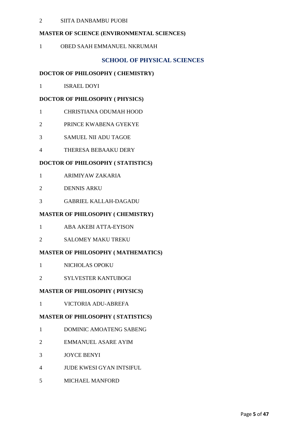# SIITA DANBAMBU PUOBI

# **MASTER OF SCIENCE (ENVIRONMENTAL SCIENCES)**

OBED SAAH EMMANUEL NKRUMAH

# **SCHOOL OF PHYSICAL SCIENCES**

#### **DOCTOR OF PHILOSOPHY ( CHEMISTRY)**

ISRAEL DOYI

# **DOCTOR OF PHILOSOPHY ( PHYSICS)**

- CHRISTIANA ODUMAH HOOD
- PRINCE KWABENA GYEKYE
- SAMUEL NII ADU TAGOE
- THERESA BEBAAKU DERY

# **DOCTOR OF PHILOSOPHY ( STATISTICS)**

- ARIMIYAW ZAKARIA
- DENNIS ARKU
- GABRIEL KALLAH-DAGADU

# **MASTER OF PHILOSOPHY ( CHEMISTRY)**

- ABA AKEBI ATTA-EYISON
- SALOMEY MAKU TREKU

# **MASTER OF PHILOSOPHY ( MATHEMATICS)**

- NICHOLAS OPOKU
- SYLVESTER KANTUBOGI

#### **MASTER OF PHILOSOPHY ( PHYSICS)**

VICTORIA ADU-ABREFA

#### **MASTER OF PHILOSOPHY ( STATISTICS)**

- DOMINIC AMOATENG SABENG
- EMMANUEL ASARE AYIM
- JOYCE BENYI
- JUDE KWESI GYAN INTSIFUL
- MICHAEL MANFORD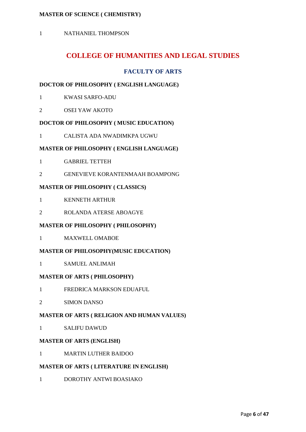# **MASTER OF SCIENCE ( CHEMISTRY)**

1 NATHANIEL THOMPSON

# **COLLEGE OF HUMANITIES AND LEGAL STUDIES**

# **FACULTY OF ARTS**

# **DOCTOR OF PHILOSOPHY ( ENGLISH LANGUAGE)**

- 1 KWASI SARFO-ADU
- 2 OSEI YAW AKOTO

# **DOCTOR OF PHILOSOPHY ( MUSIC EDUCATION)**

1 CALISTA ADA NWADIMKPA UGWU

# **MASTER OF PHILOSOPHY ( ENGLISH LANGUAGE)**

- 1 GABRIEL TETTEH
- 2 GENEVIEVE KORANTENMAAH BOAMPONG

# **MASTER OF PHILOSOPHY ( CLASSICS)**

- 1 KENNETH ARTHUR
- 2 ROLANDA ATERSE ABOAGYE

#### **MASTER OF PHILOSOPHY ( PHILOSOPHY)**

1 MAXWELL OMABOE

# **MASTER OF PHILOSOPHY(MUSIC EDUCATION)**

1 SAMUEL ANLIMAH

#### **MASTER OF ARTS ( PHILOSOPHY)**

- 1 FREDRICA MARKSON EDUAFUL
- 2 SIMON DANSO

# **MASTER OF ARTS ( RELIGION AND HUMAN VALUES)**

1 SALIFU DAWUD

# **MASTER OF ARTS (ENGLISH)**

1 MARTIN LUTHER BAIDOO

#### **MASTER OF ARTS ( LITERATURE IN ENGLISH)**

1 DOROTHY ANTWI BOASIAKO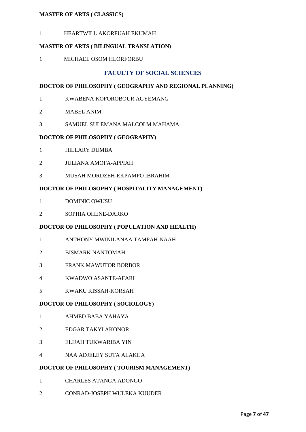# **MASTER OF ARTS ( CLASSICS)**

HEARTWILL AKORFUAH EKUMAH

# **MASTER OF ARTS ( BILINGUAL TRANSLATION)**

MICHAEL OSOM HLORFORBU

# **FACULTY OF SOCIAL SCIENCES**

# **DOCTOR OF PHILOSOPHY ( GEOGRAPHY AND REGIONAL PLANNING)**

- KWABENA KOFOROBOUR AGYEMANG
- MABEL ANIM
- SAMUEL SULEMANA MALCOLM MAHAMA

# **DOCTOR OF PHILOSOPHY ( GEOGRAPHY)**

- HILLARY DUMBA
- JULIANA AMOFA-APPIAH
- MUSAH MORDZEH-EKPAMPO IBRAHIM

# **DOCTOR OF PHILOSOPHY ( HOSPITALITY MANAGEMENT)**

- DOMINIC OWUSU
- SOPHIA OHENE-DARKO

#### **DOCTOR OF PHILOSOPHY ( POPULATION AND HEALTH)**

- ANTHONY MWINILANAA TAMPAH-NAAH
- BISMARK NANTOMAH
- FRANK MAWUTOR BORBOR
- KWADWO ASANTE-AFARI
- KWAKU KISSAH-KORSAH

# **DOCTOR OF PHILOSOPHY ( SOCIOLOGY)**

- AHMED BABA YAHAYA
- EDGAR TAKYI AKONOR
- ELIJAH TUKWARIBA YIN
- NAA ADJELEY SUTA ALAKIJA

# **DOCTOR OF PHILOSOPHY ( TOURISM MANAGEMENT)**

- CHARLES ATANGA ADONGO
- CONRAD-JOSEPH WULEKA KUUDER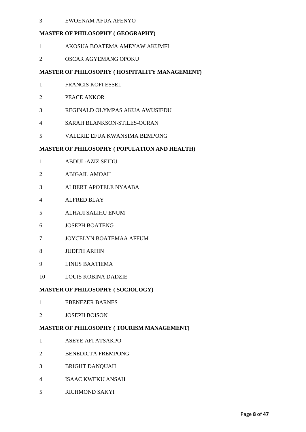## EWOENAM AFUA AFENYO

# **MASTER OF PHILOSOPHY ( GEOGRAPHY)**

- AKOSUA BOATEMA AMEYAW AKUMFI
- OSCAR AGYEMANG OPOKU

# **MASTER OF PHILOSOPHY ( HOSPITALITY MANAGEMENT)**

- FRANCIS KOFI ESSEL
- PEACE ANKOR
- REGINALD OLYMPAS AKUA AWUSIEDU
- SARAH BLANKSON-STILES-OCRAN
- VALERIE EFUA KWANSIMA BEMPONG

# **MASTER OF PHILOSOPHY ( POPULATION AND HEALTH)**

- ABDUL-AZIZ SEIDU
- ABIGAIL AMOAH
- ALBERT APOTELE NYAABA
- ALFRED BLAY
- ALHAJI SALIHU ENUM
- JOSEPH BOATENG
- JOYCELYN BOATEMAA AFFUM
- JUDITH ARHIN
- LINUS BAATIEMA
- LOUIS KOBINA DADZIE

# **MASTER OF PHILOSOPHY ( SOCIOLOGY)**

- EBENEZER BARNES
- JOSEPH BOISON

# **MASTER OF PHILOSOPHY ( TOURISM MANAGEMENT)**

- ASEYE AFI ATSAKPO
- BENEDICTA FREMPONG
- BRIGHT DANQUAH
- ISAAC KWEKU ANSAH
- RICHMOND SAKYI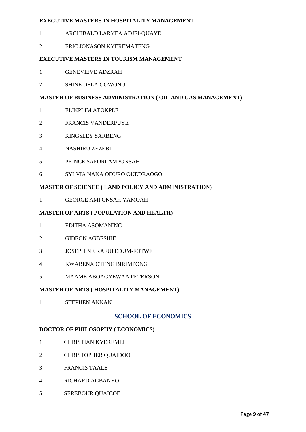# **EXECUTIVE MASTERS IN HOSPITALITY MANAGEMENT**

- ARCHIBALD LARYEA ADJEI-QUAYE
- ERIC JONASON KYEREMATENG

# **EXECUTIVE MASTERS IN TOURISM MANAGEMENT**

- GENEVIEVE ADZRAH
- SHINE DELA GOWONU

# **MASTER OF BUSINESS ADMINISTRATION ( OIL AND GAS MANAGEMENT)**

- ELIKPLIM ATOKPLE
- FRANCIS VANDERPUYE
- KINGSLEY SARBENG
- NASHIRU ZEZEBI
- PRINCE SAFORI AMPONSAH
- SYLVIA NANA ODURO OUEDRAOGO

# **MASTER OF SCIENCE ( LAND POLICY AND ADMINISTRATION)**

GEORGE AMPONSAH YAMOAH

# **MASTER OF ARTS ( POPULATION AND HEALTH)**

- EDITHA ASOMANING
- GIDEON AGBESHIE
- JOSEPHINE KAFUI EDUM-FOTWE
- KWABENA OTENG BIRIMPONG
- MAAME ABOAGYEWAA PETERSON

# **MASTER OF ARTS ( HOSPITALITY MANAGEMENT)**

STEPHEN ANNAN

# **SCHOOL OF ECONOMICS**

# **DOCTOR OF PHILOSOPHY ( ECONOMICS)**

- CHRISTIAN KYEREMEH
- CHRISTOPHER QUAIDOO
- FRANCIS TAALE
- RICHARD AGBANYO
- SEREBOUR QUAICOE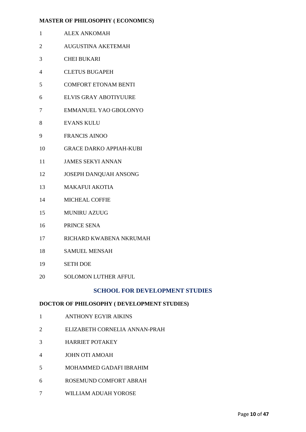# **MASTER OF PHILOSOPHY ( ECONOMICS)**

- ALEX ANKOMAH
- AUGUSTINA AKETEMAH
- CHEI BUKARI
- CLETUS BUGAPEH
- COMFORT ETONAM BENTI
- ELVIS GRAY ABOTIYUURE
- EMMANUEL YAO GBOLONYO
- EVANS KULU
- FRANCIS AINOO
- GRACE DARKO APPIAH-KUBI
- JAMES SEKYI ANNAN
- JOSEPH DANQUAH ANSONG
- MAKAFUI AKOTIA
- MICHEAL COFFIE
- MUNIRU AZUUG
- PRINCE SENA
- RICHARD KWABENA NKRUMAH
- SAMUEL MENSAH
- SETH DOE
- 20 SOLOMON LUTHER AFFUL

# **SCHOOL FOR DEVELOPMENT STUDIES**

# **DOCTOR OF PHILOSOPHY ( DEVELOPMENT STUDIES)**

- ANTHONY EGYIR AIKINS
- ELIZABETH CORNELIA ANNAN-PRAH
- HARRIET POTAKEY
- JOHN OTI AMOAH
- MOHAMMED GADAFI IBRAHIM
- ROSEMUND COMFORT ABRAH
- WILLIAM ADUAH YOROSE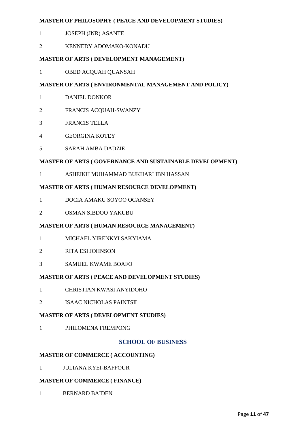# **MASTER OF PHILOSOPHY ( PEACE AND DEVELOPMENT STUDIES)**

- JOSEPH (JNR) ASANTE
- KENNEDY ADOMAKO-KONADU

# **MASTER OF ARTS ( DEVELOPMENT MANAGEMENT)**

OBED ACQUAH QUANSAH

# **MASTER OF ARTS ( ENVIRONMENTAL MANAGEMENT AND POLICY)**

- DANIEL DONKOR
- FRANCIS ACQUAH-SWANZY
- FRANCIS TELLA
- GEORGINA KOTEY
- SARAH AMBA DADZIE

# **MASTER OF ARTS ( GOVERNANCE AND SUSTAINABLE DEVELOPMENT)**

ASHEIKH MUHAMMAD BUKHARI IBN HASSAN

# **MASTER OF ARTS ( HUMAN RESOURCE DEVELOPMENT)**

- DOCIA AMAKU SOYOO OCANSEY
- OSMAN SIBDOO YAKUBU

# **MASTER OF ARTS ( HUMAN RESOURCE MANAGEMENT)**

- MICHAEL YIRENKYI SAKYIAMA
- RITA ESI JOHNSON
- SAMUEL KWAME BOAFO

# **MASTER OF ARTS ( PEACE AND DEVELOPMENT STUDIES)**

- CHRISTIAN KWASI ANYIDOHO
- ISAAC NICHOLAS PAINTSIL

# **MASTER OF ARTS ( DEVELOPMENT STUDIES)**

PHILOMENA FREMPONG

# **SCHOOL OF BUSINESS**

# **MASTER OF COMMERCE ( ACCOUNTING)**

JULIANA KYEI-BAFFOUR

# **MASTER OF COMMERCE ( FINANCE)**

BERNARD BAIDEN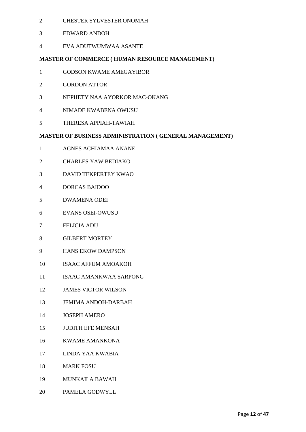- CHESTER SYLVESTER ONOMAH
- EDWARD ANDOH
- EVA ADUTWUMWAA ASANTE

# **MASTER OF COMMERCE ( HUMAN RESOURCE MANAGEMENT)**

- GODSON KWAME AMEGAYIBOR
- GORDON ATTOR
- NEPHETY NAA AYORKOR MAC-OKANG
- NIMADE KWABENA OWUSU
- THERESA APPIAH-TAWIAH

# **MASTER OF BUSINESS ADMINISTRATION ( GENERAL MANAGEMENT)**

- AGNES ACHIAMAA ANANE
- CHARLES YAW BEDIAKO
- DAVID TEKPERTEY KWAO
- DORCAS BAIDOO
- DWAMENA ODEI
- EVANS OSEI-OWUSU
- FELICIA ADU
- GILBERT MORTEY
- HANS EKOW DAMPSON
- ISAAC AFFUM AMOAKOH
- ISAAC AMANKWAA SARPONG
- JAMES VICTOR WILSON
- JEMIMA ANDOH-DARBAH
- JOSEPH AMERO
- JUDITH EFE MENSAH
- KWAME AMANKONA
- LINDA YAA KWABIA
- MARK FOSU
- MUNKAILA BAWAH
- PAMELA GODWYLL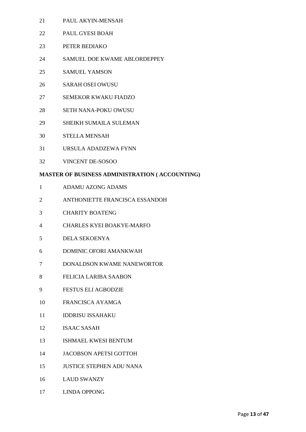- PAUL AKYIN-MENSAH
- PAUL GYESI BOAH
- PETER BEDIAKO
- SAMUEL DOE KWAME ABLORDEPPEY
- SAMUEL YAMSON
- SARAH OSEI OWUSU
- SEMEKOR KWAKU FIADZO
- SETH NANA-POKU OWUSU
- SHEIKH SUMAILA SULEMAN
- STELLA MENSAH
- URSULA ADADZEWA FYNN
- VINCENT DE-SOSOO

# **MASTER OF BUSINESS ADMINISTRATION ( ACCOUNTING)**

- ADAMU AZONG ADAMS
- ANTHONIETTE FRANCISCA ESSANDOH
- CHARITY BOATENG
- CHARLES KYEI BOAKYE-MARFO
- DELA SEKOENYA
- DOMINIC OFORI AMANKWAH
- DONALDSON KWAME NANEWORTOR
- FELICIA LARIBA SAABON
- FESTUS ELI AGBODZIE
- FRANCISCA AYAMGA
- **IDDRISU ISSAHAKU**
- ISAAC SASAH
- ISHMAEL KWESI BENTUM
- JACOBSON APETSI GOTTOH
- JUSTICE STEPHEN ADU NANA
- LAUD SWANZY
- LINDA OPPONG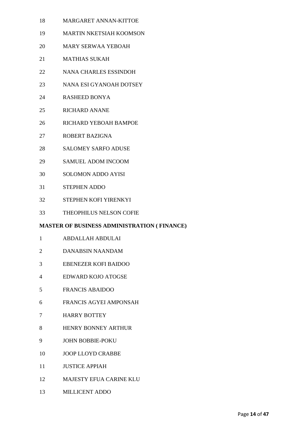- MARGARET ANNAN-KITTOE
- MARTIN NKETSIAH KOOMSON
- MARY SERWAA YEBOAH
- MATHIAS SUKAH
- NANA CHARLES ESSINDOH
- NANA ESI GYANOAH DOTSEY
- RASHEED BONYA
- RICHARD ANANE
- RICHARD YEBOAH BAMPOE
- ROBERT BAZIGNA
- SALOMEY SARFO ADUSE
- SAMUEL ADOM INCOOM
- SOLOMON ADDO AYISI
- STEPHEN ADDO
- STEPHEN KOFI YIRENKYI
- THEOPHILUS NELSON COFIE

# **MASTER OF BUSINESS ADMINISTRATION ( FINANCE)**

- ABDALLAH ABDULAI
- DANABSIN NAANDAM
- EBENEZER KOFI BAIDOO
- EDWARD KOJO ATOGSE
- FRANCIS ABAIDOO
- FRANCIS AGYEI AMPONSAH
- HARRY BOTTEY
- HENRY BONNEY ARTHUR
- JOHN BOBBIE-POKU
- JOOP LLOYD CRABBE
- JUSTICE APPIAH
- MAJESTY EFUA CARINE KLU
- MILLICENT ADDO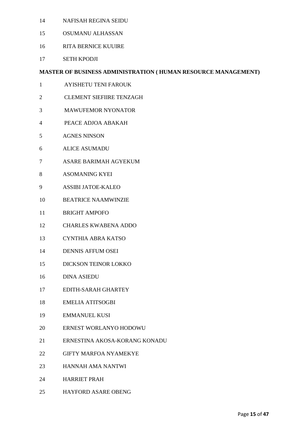- NAFISAH REGINA SEIDU
- OSUMANU ALHASSAN
- RITA BERNICE KUUIRE
- SETH KPODJI

# **MASTER OF BUSINESS ADMINISTRATION ( HUMAN RESOURCE MANAGEMENT)**

- AYISHETU TENI FAROUK
- CLEMENT SIEFIIRE TENZAGH
- MAWUFEMOR NYONATOR
- PEACE ADJOA ABAKAH
- AGNES NINSON
- ALICE ASUMADU
- ASARE BARIMAH AGYEKUM
- ASOMANING KYEI
- ASSIBI JATOE-KALEO
- BEATRICE NAAMWINZIE
- BRIGHT AMPOFO
- CHARLES KWABENA ADDO
- CYNTHIA ABRA KATSO
- DENNIS AFFUM OSEI
- DICKSON TEINOR LOKKO
- DINA ASIEDU
- EDITH-SARAH GHARTEY
- EMELIA ATITSOGBI
- EMMANUEL KUSI
- ERNEST WORLANYO HODOWU
- ERNESTINA AKOSA-KORANG KONADU
- GIFTY MARFOA NYAMEKYE
- HANNAH AMA NANTWI
- HARRIET PRAH
- HAYFORD ASARE OBENG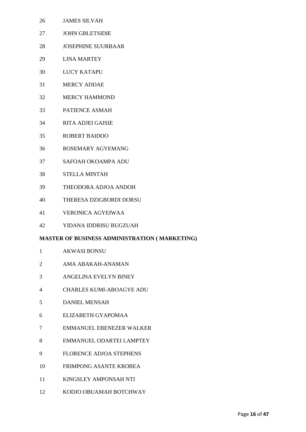- JAMES SILVAH
- JOHN GBLETSIDIE
- JOSEPHINE SUURBAAR
- LINA MARTEY
- LUCY KATAPU
- MERCY ADDAE
- MERCY HAMMOND
- PATIENCE ASMAH
- RITA ADJEI GAISIE
- ROBERT BAIDOO
- ROSEMARY AGYEMANG
- SAFOAH OKOAMPA ADU
- STELLA MINTAH
- THEODORA ADJOA ANDOH
- THERESA DZIGBORDI DORSU
- VERONICA AGYEIWAA
- YIDANA IDDRISU BUGZUAH

# **MASTER OF BUSINESS ADMINISTRATION ( MARKETING)**

- AKWASI BONSU
- AMA ABAKAH-ANAMAN
- ANGELINA EVELYN BINEY
- CHARLES KUMI-ABOAGYE ADU
- DANIEL MENSAH
- ELIZABETH GYAPOMAA
- EMMANUEL EBENEZER WALKER
- EMMANUEL ODARTEI LAMPTEY
- FLORENCE ADJOA STEPHENS
- FRIMPONG ASANTE KROBEA
- KINGSLEY AMPONSAH NTI
- KODJO OBUAMAH BOTCHWAY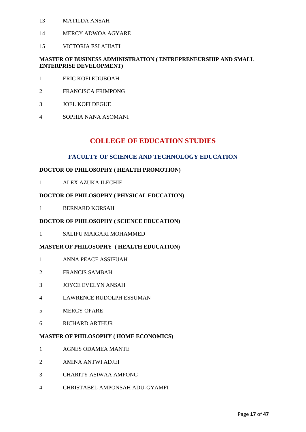- MATILDA ANSAH
- MERCY ADWOA AGYARE
- VICTORIA ESI AHIATI

# **MASTER OF BUSINESS ADMINISTRATION ( ENTREPRENEURSHIP AND SMALL ENTERPRISE DEVELOPMENT)**

- ERIC KOFI EDUBOAH
- FRANCISCA FRIMPONG
- JOEL KOFI DEGUE
- SOPHIA NANA ASOMANI

# **COLLEGE OF EDUCATION STUDIES**

# **FACULTY OF SCIENCE AND TECHNOLOGY EDUCATION**

# **DOCTOR OF PHILOSOPHY ( HEALTH PROMOTION)**

ALEX AZUKA ILECHIE

# **DOCTOR OF PHILOSOPHY ( PHYSICAL EDUCATION)**

BERNARD KORSAH

#### **DOCTOR OF PHILOSOPHY ( SCIENCE EDUCATION)**

SALIFU MAIGARI MOHAMMED

#### **MASTER OF PHILOSOPHY ( HEALTH EDUCATION)**

- ANNA PEACE ASSIFUAH
- FRANCIS SAMBAH
- JOYCE EVELYN ANSAH
- LAWRENCE RUDOLPH ESSUMAN
- MERCY OPARE
- RICHARD ARTHUR

#### **MASTER OF PHILOSOPHY ( HOME ECONOMICS)**

- AGNES ODAMEA MANTE
- AMINA ANTWI ADJEI
- CHARITY ASIWAA AMPONG
- CHRISTABEL AMPONSAH ADU-GYAMFI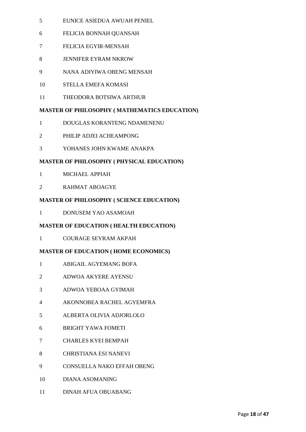- EUNICE ASIEDUA AWUAH PENIEL
- FELICIA BONNAH QUANSAH
- FELICIA EGYIR-MENSAH
- JENNIFER EYRAM NKROW
- NANA ADIYIWA OBENG MENSAH
- STELLA EMEFA KOMASI
- THEODORA BOTSIWA ARTHUR

# **MASTER OF PHILOSOPHY ( MATHEMATICS EDUCATION)**

- DOUGLAS KORANTENG NDAMENENU
- PHILIP ADJEI ACHEAMPONG
- YOHANES JOHN KWAME ANAKPA

# **MASTER OF PHILOSOPHY ( PHYSICAL EDUCATION)**

- MICHAEL APPIAH
- RAHMAT ABOAGYE

# **MASTER OF PHILOSOPHY ( SCIENCE EDUCATION)**

DONUSEM YAO ASAMOAH

# **MASTER OF EDUCATION ( HEALTH EDUCATION)**

COURAGE SEYRAM AKPAH

# **MASTER OF EDUCATION ( HOME ECONOMICS)**

- ABIGAIL AGYEMANG BOFA
- ADWOA AKYERE AYENSU
- ADWOA YEBOAA GYIMAH
- AKONNOBEA RACHEL AGYEMFRA
- ALBERTA OLIVIA ADJORLOLO
- BRIGHT YAWA FOMETI
- CHARLES KYEI BEMPAH
- CHRISTIANA ESI NANEVI
- CONSUELLA NAKO EFFAH OBENG
- DIANA ASOMANING
- DINAH AFUA OBUABANG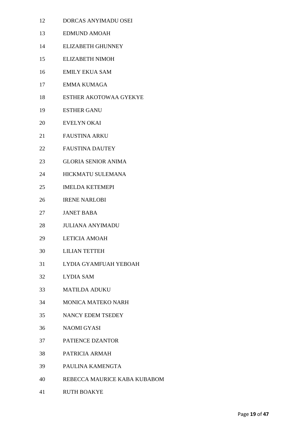- DORCAS ANYIMADU OSEI
- EDMUND AMOAH
- ELIZABETH GHUNNEY
- ELIZABETH NIMOH
- EMILY EKUA SAM
- EMMA KUMAGA
- ESTHER AKOTOWAA GYEKYE
- ESTHER GANU
- EVELYN OKAI
- FAUSTINA ARKU
- FAUSTINA DAUTEY
- GLORIA SENIOR ANIMA
- HICKMATU SULEMANA
- IMELDA KETEMEPI
- IRENE NARLOBI
- JANET BABA
- JULIANA ANYIMADU
- LETICIA AMOAH
- LILIAN TETTEH
- LYDIA GYAMFUAH YEBOAH
- LYDIA SAM
- MATILDA ADUKU
- MONICA MATEKO NARH
- NANCY EDEM TSEDEY
- NAOMI GYASI
- PATIENCE DZANTOR
- PATRICIA ARMAH
- PAULINA KAMENGTA
- REBECCA MAURICE KABA KUBABOM
- RUTH BOAKYE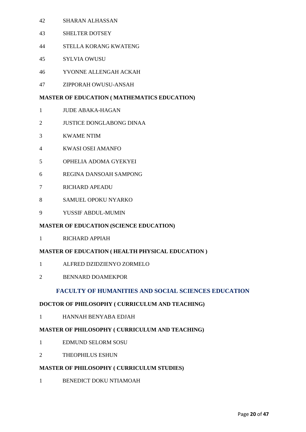- SHARAN ALHASSAN
- SHELTER DOTSEY
- STELLA KORANG KWATENG
- SYLVIA OWUSU
- YVONNE ALLENGAH ACKAH
- ZIPPORAH OWUSU-ANSAH

# **MASTER OF EDUCATION ( MATHEMATICS EDUCATION)**

- JUDE ABAKA-HAGAN
- JUSTICE DONGLABONG DINAA
- KWAME NTIM
- KWASI OSEI AMANFO
- OPHELIA ADOMA GYEKYEI
- REGINA DANSOAH SAMPONG
- RICHARD APEADU
- SAMUEL OPOKU NYARKO
- YUSSIF ABDUL-MUMIN

# **MASTER OF EDUCATION (SCIENCE EDUCATION)**

RICHARD APPIAH

# **MASTER OF EDUCATION ( HEALTH PHYSICAL EDUCATION )**

- ALFRED DZIDZIENYO ZORMELO
- BENNARD DOAMEKPOR

# **FACULTY OF HUMANITIES AND SOCIAL SCIENCES EDUCATION**

# **DOCTOR OF PHILOSOPHY ( CURRICULUM AND TEACHING)**

HANNAH BENYABA EDJAH

# **MASTER OF PHILOSOPHY ( CURRICULUM AND TEACHING)**

- EDMUND SELORM SOSU
- THEOPHILUS ESHUN

# **MASTER OF PHILOSOPHY ( CURRICULUM STUDIES)**

BENEDICT DOKU NTIAMOAH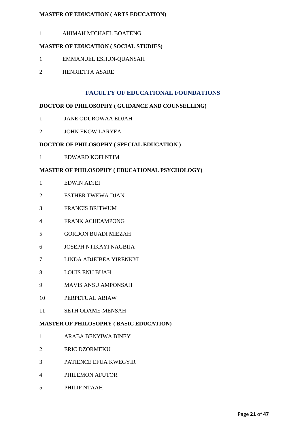# **MASTER OF EDUCATION ( ARTS EDUCATION)**

AHIMAH MICHAEL BOATENG

# **MASTER OF EDUCATION ( SOCIAL STUDIES)**

- EMMANUEL ESHUN-QUANSAH
- HENRIETTA ASARE

# **FACULTY OF EDUCATIONAL FOUNDATIONS**

# **DOCTOR OF PHILOSOPHY ( GUIDANCE AND COUNSELLING)**

- JANE ODUROWAA EDJAH
- JOHN EKOW LARYEA

# **DOCTOR OF PHILOSOPHY ( SPECIAL EDUCATION )**

EDWARD KOFI NTIM

# **MASTER OF PHILOSOPHY ( EDUCATIONAL PSYCHOLOGY)**

- EDWIN ADJEI
- ESTHER TWEWA DJAN
- FRANCIS BRITWUM
- FRANK ACHEAMPONG
- GORDON BUADI MIEZAH
- JOSEPH NTIKAYI NAGBIJA
- LINDA ADJEIBEA YIRENKYI
- LOUIS ENU BUAH
- MAVIS ANSU AMPONSAH
- PERPETUAL ABIAW
- SETH ODAME-MENSAH

# **MASTER OF PHILOSOPHY ( BASIC EDUCATION)**

- ARABA BENYIWA BINEY
- ERIC DZORMEKU
- PATIENCE EFUA KWEGYIR
- PHILEMON AFUTOR
- PHILIP NTAAH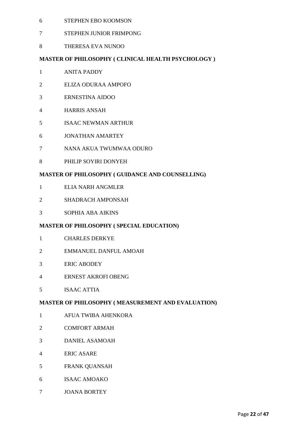- STEPHEN EBO KOOMSON
- STEPHEN JUNIOR FRIMPONG
- THERESA EVA NUNOO

# **MASTER OF PHILOSOPHY ( CLINICAL HEALTH PSYCHOLOGY )**

- ANITA PADDY
- ELIZA ODURAA AMPOFO
- ERNESTINA AIDOO
- HARRIS ANSAH
- ISAAC NEWMAN ARTHUR
- JONATHAN AMARTEY
- NANA AKUA TWUMWAA ODURO
- PHILIP SOYIRI DONYEH

# **MASTER OF PHILOSOPHY ( GUIDANCE AND COUNSELLING)**

- ELIA NARH ANGMLER
- SHADRACH AMPONSAH
- SOPHIA ABA AIKINS

# **MASTER OF PHILOSOPHY ( SPECIAL EDUCATION)**

- CHARLES DERKYE
- EMMANUEL DANFUL AMOAH
- ERIC ABODEY
- ERNEST AKROFI OBENG
- ISAAC ATTIA

# **MASTER OF PHILOSOPHY ( MEASUREMENT AND EVALUATION)**

- AFUA TWIBA AHENKORA
- COMFORT ARMAH
- DANIEL ASAMOAH
- ERIC ASARE
- FRANK QUANSAH
- ISAAC AMOAKO
- JOANA BORTEY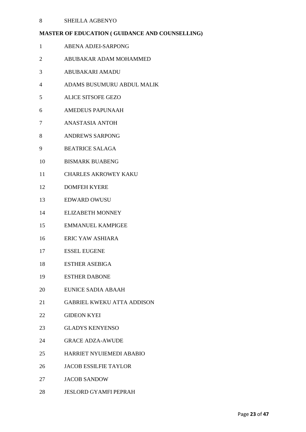# SHEILLA AGBENYO

# **MASTER OF EDUCATION ( GUIDANCE AND COUNSELLING)**

- ABENA ADJEI-SARPONG
- ABUBAKAR ADAM MOHAMMED
- ABUBAKARI AMADU
- ADAMS BUSUMURU ABDUL MALIK
- ALICE SITSOFE GEZO
- AMEDEUS PAPUNAAH
- ANASTASIA ANTOH
- ANDREWS SARPONG
- BEATRICE SALAGA
- BISMARK BUABENG
- CHARLES AKROWEY KAKU
- DOMFEH KYERE
- EDWARD OWUSU
- ELIZABETH MONNEY
- EMMANUEL KAMPIGEE
- ERIC YAW ASHIARA
- ESSEL EUGENE
- ESTHER ASEBIGA
- ESTHER DABONE
- EUNICE SADIA ABAAH
- GABRIEL KWEKU ATTA ADDISON
- GIDEON KYEI
- GLADYS KENYENSO
- GRACE ADZA-AWUDE
- HARRIET NYUIEMEDI ABABIO
- JACOB ESSILFIE TAYLOR
- JACOB SANDOW
- JESLORD GYAMFI PEPRAH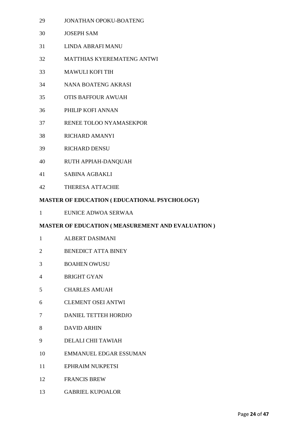- JONATHAN OPOKU-BOATENG
- JOSEPH SAM
- LINDA ABRAFI MANU
- MATTHIAS KYEREMATENG ANTWI
- MAWULI KOFI TIH
- NANA BOATENG AKRASI
- OTIS BAFFOUR AWUAH
- PHILIP KOFI ANNAN
- RENEE TOLOO NYAMASEKPOR
- RICHARD AMANYI
- RICHARD DENSU
- RUTH APPIAH-DANQUAH
- SABINA AGBAKLI
- THERESA ATTACHIE

# **MASTER OF EDUCATION ( EDUCATIONAL PSYCHOLOGY)**

EUNICE ADWOA SERWAA

# **MASTER OF EDUCATION ( MEASUREMENT AND EVALUATION )**

- ALBERT DASIMANI
- BENEDICT ATTA BINEY
- BOAHEN OWUSU
- BRIGHT GYAN
- CHARLES AMUAH
- CLEMENT OSEI ANTWI
- DANIEL TETTEH HORDJO
- DAVID ARHIN
- DELALI CHII TAWIAH
- EMMANUEL EDGAR ESSUMAN
- EPHRAIM NUKPETSI
- FRANCIS BREW
- GABRIEL KUPOALOR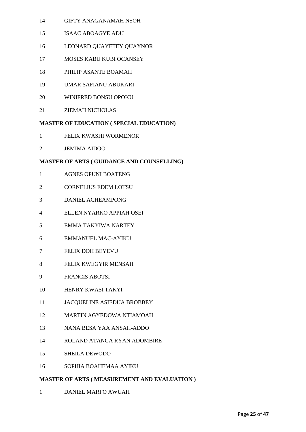- GIFTY ANAGANAMAH NSOH
- ISAAC ABOAGYE ADU
- LEONARD QUAYETEY QUAYNOR
- MOSES KABU KUBI OCANSEY
- PHILIP ASANTE BOAMAH
- UMAR SAFIANU ABUKARI
- WINIFRED BONSU OPOKU
- ZIEMAH NICHOLAS

# **MASTER OF EDUCATION ( SPECIAL EDUCATION)**

- FELIX KWASHI WORMENOR
- JEMIMA AIDOO

# **MASTER OF ARTS ( GUIDANCE AND COUNSELLING)**

- AGNES OPUNI BOATENG
- CORNELIUS EDEM LOTSU
- DANIEL ACHEAMPONG
- ELLEN NYARKO APPIAH OSEI
- EMMA TAKYIWA NARTEY
- EMMANUEL MAC-AYIKU
- FELIX DOH BEYEVU
- FELIX KWEGYIR MENSAH
- FRANCIS ABOTSI
- HENRY KWASI TAKYI
- JACQUELINE ASIEDUA BROBBEY
- MARTIN AGYEDOWA NTIAMOAH
- NANA BESA YAA ANSAH-ADDO
- ROLAND ATANGA RYAN ADOMBIRE
- SHEILA DEWODO
- SOPHIA BOAHEMAA AYIKU

# **MASTER OF ARTS ( MEASUREMENT AND EVALUATION )**

DANIEL MARFO AWUAH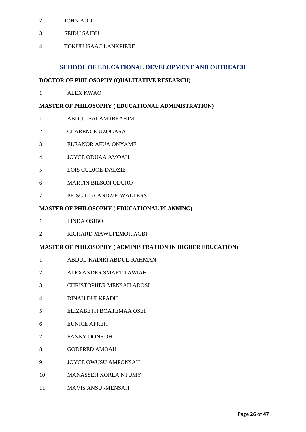- JOHN ADU
- SEIDU SAIBU
- TOKUU ISAAC LANKPIERE

# **SCHOOL OF EDUCATIONAL DEVELOPMENT AND OUTREACH**

#### **DOCTOR OF PHILOSOPHY (QUALITATIVE RESEARCH)**

ALEX KWAO

# **MASTER OF PHILOSOPHY ( EDUCATIONAL ADMINISTRATION)**

- ABDUL-SALAM IBRAHIM
- CLARENCE UZOGARA
- ELEANOR AFUA ONYAME
- JOYCE ODUAA AMOAH
- LOIS CUDJOE-DADZIE
- MARTIN BILSON ODURO
- PRISCILLA ANDZIE-WALTERS

# **MASTER OF PHILOSOPHY ( EDUCATIONAL PLANNING)**

- LINDA OSIBO
- RICHARD MAWUFEMOR AGBI

#### **MASTER OF PHILOSOPHY ( ADMINISTRATION IN HIGHER EDUCATION)**

- ABDUL-KADIRI ABDUL-RAHMAN
- ALEXANDER SMART TAWIAH
- CHRISTOPHER MENSAH ADOSI
- DINAH DULKPADU
- ELIZABETH BOATEMAA OSEI
- EUNICE AFREH
- FANNY DONKOH
- GODFRED AMOAH
- JOYCE OWUSU AMPONSAH
- MANASSEH XORLA NTUMY
- MAVIS ANSU -MENSAH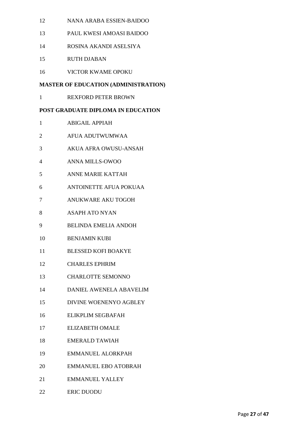- NANA ARABA ESSIEN-BAIDOO
- PAUL KWESI AMOASI BAIDOO
- ROSINA AKANDI ASELSIYA
- RUTH DJABAN
- VICTOR KWAME OPOKU

# **MASTER OF EDUCATION (ADMINISTRATION)**

REXFORD PETER BROWN

# **POST GRADUATE DIPLOMA IN EDUCATION**

- ABIGAIL APPIAH
- AFUA ADUTWUMWAA
- AKUA AFRA OWUSU-ANSAH
- ANNA MILLS-OWOO
- ANNE MARIE KATTAH
- ANTOINETTE AFUA POKUAA
- ANUKWARE AKU TOGOH
- ASAPH ATO NYAN
- BELINDA EMELIA ANDOH
- BENJAMIN KUBI
- BLESSED KOFI BOAKYE
- CHARLES EPHRIM
- CHARLOTTE SEMONNO
- DANIEL AWENELA ABAVELIM
- DIVINE WOENENYO AGBLEY
- ELIKPLIM SEGBAFAH
- ELIZABETH OMALE
- EMERALD TAWIAH
- EMMANUEL ALORKPAH
- EMMANUEL EBO ATOBRAH
- EMMANUEL YALLEY
- ERIC DUODU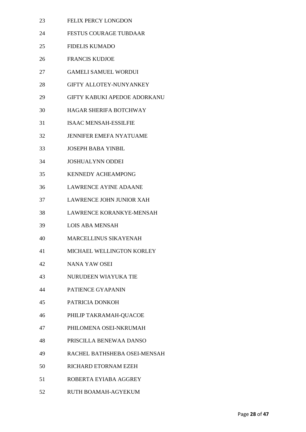- FELIX PERCY LONGDON
- FESTUS COURAGE TUBDAAR
- FIDELIS KUMADO
- FRANCIS KUDJOE
- GAMELI SAMUEL WORDUI
- GIFTY ALLOTEY-NUNYANKEY
- GIFTY KABUKI APEDOE ADORKANU
- HAGAR SHERIFA BOTCHWAY
- ISAAC MENSAH-ESSILFIE
- JENNIFER EMEFA NYATUAME
- JOSEPH BABA YINBIL
- JOSHUALYNN ODDEI
- KENNEDY ACHEAMPONG
- LAWRENCE AYINE ADAANE
- LAWRENCE JOHN JUNIOR XAH
- LAWRENCE KORANKYE-MENSAH
- LOIS ABA MENSAH
- MARCELLINUS SIKAYENAH
- MICHAEL WELLINGTON KORLEY
- NANA YAW OSEI
- NURUDEEN WIAYUKA TIE
- PATIENCE GYAPANIN
- PATRICIA DONKOH
- PHILIP TAKRAMAH-QUACOE
- PHILOMENA OSEI-NKRUMAH
- PRISCILLA BENEWAA DANSO
- RACHEL BATHSHEBA OSEI-MENSAH
- RICHARD ETORNAM EZEH
- ROBERTA EYIABA AGGREY
- RUTH BOAMAH-AGYEKUM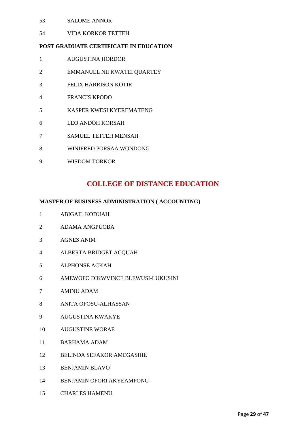- SALOME ANNOR
- VIDA KORKOR TETTEH

# **POST GRADUATE CERTIFICATE IN EDUCATION**

- AUGUSTINA HORDOR
- EMMANUEL NII KWATEI QUARTEY
- FELIX HARRISON KOTIR
- FRANCIS KPODO
- KASPER KWESI KYEREMATENG
- LEO ANDOH KORSAH
- SAMUEL TETTEH MENSAH
- WINIFRED PORSAA WONDONG
- WISDOM TORKOR

# **COLLEGE OF DISTANCE EDUCATION**

# **MASTER OF BUSINESS ADMINISTRATION ( ACCOUNTING)**

- ABIGAIL KODUAH
- ADAMA ANGPUOBA
- AGNES ANIM
- ALBERTA BRIDGET ACQUAH
- ALPHONSE ACKAH
- AMEWOFO DIKWVINCE BLEWUSI-LUKUSINI
- AMINU ADAM
- ANITA OFOSU-ALHASSAN
- AUGUSTINA KWAKYE
- AUGUSTINE WORAE
- BARHAMA ADAM
- BELINDA SEFAKOR AMEGASHIE
- BENJAMIN BLAVO
- BENJAMIN OFORI AKYEAMPONG
- CHARLES HAMENU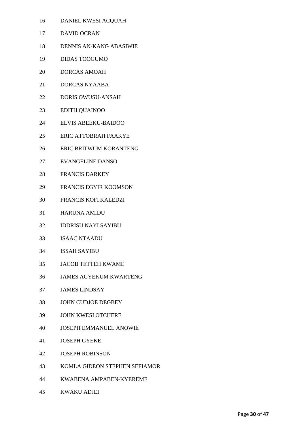- DANIEL KWESI ACQUAH
- DAVID OCRAN
- DENNIS AN-KANG ABASIWIE
- DIDAS TOOGUMO
- DORCAS AMOAH
- DORCAS NYAABA
- DORIS OWUSU-ANSAH
- EDITH QUAINOO
- ELVIS ABEEKU-BAIDOO
- ERIC ATTOBRAH FAAKYE
- ERIC BRITWUM KORANTENG
- EVANGELINE DANSO
- FRANCIS DARKEY
- FRANCIS EGYIR KOOMSON
- FRANCIS KOFI KALEDZI
- HARUNA AMIDU
- IDDRISU NAYI SAYIBU
- ISAAC NTAADU
- ISSAH SAYIBU
- JACOB TETTEH KWAME
- JAMES AGYEKUM KWARTENG
- JAMES LINDSAY
- JOHN CUDJOE DEGBEY
- JOHN KWESI OTCHERE
- JOSEPH EMMANUEL ANOWIE
- JOSEPH GYEKE
- JOSEPH ROBINSON
- KOMLA GIDEON STEPHEN SEFIAMOR
- KWABENA AMPABEN-KYEREME
- KWAKU ADJEI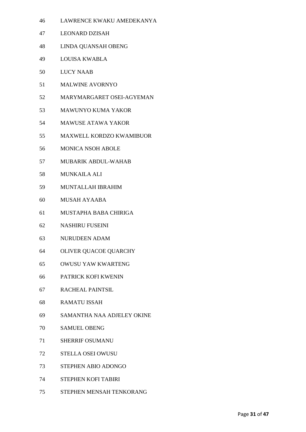- LAWRENCE KWAKU AMEDEKANYA
- LEONARD DZISAH
- LINDA QUANSAH OBENG
- LOUISA KWABLA
- LUCY NAAB
- MALWINE AVORNYO
- MARYMARGARET OSEI-AGYEMAN
- MAWUNYO KUMA YAKOR
- MAWUSE ATAWA YAKOR
- MAXWELL KORDZO KWAMIBUOR
- MONICA NSOH ABOLE
- MUBARIK ABDUL-WAHAB
- MUNKAILA ALI
- MUNTALLAH IBRAHIM
- MUSAH AYAABA
- MUSTAPHA BABA CHIRIGA
- NASHIRU FUSEINI
- NURUDEEN ADAM
- OLIVER QUACOE QUARCHY
- OWUSU YAW KWARTENG
- PATRICK KOFI KWENIN
- RACHEAL PAINTSIL
- RAMATU ISSAH
- SAMANTHA NAA ADJELEY OKINE
- SAMUEL OBENG
- SHERRIF OSUMANU
- STELLA OSEI OWUSU
- STEPHEN ABIO ADONGO
- STEPHEN KOFI TABIRI
- STEPHEN MENSAH TENKORANG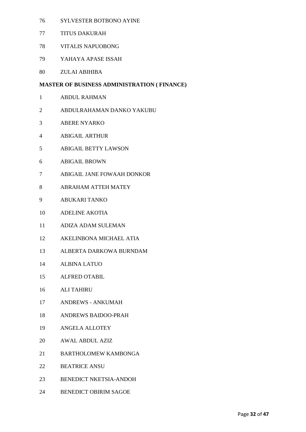- SYLVESTER BOTBONO AYINE
- TITUS DAKURAH
- VITALIS NAPUOBONG
- YAHAYA APASE ISSAH
- ZULAI ABIHIBA

# **MASTER OF BUSINESS ADMINISTRATION ( FINANCE)**

- ABDUL RAHMAN
- ABDULRAHAMAN DANKO YAKUBU
- ABERE NYARKO
- ABIGAIL ARTHUR
- ABIGAIL BETTY LAWSON
- ABIGAIL BROWN
- ABIGAIL JANE FOWAAH DONKOR
- ABRAHAM ATTEH MATEY
- ABUKARI TANKO
- ADELINE AKOTIA
- ADIZA ADAM SULEMAN
- AKELINBONA MICHAEL ATIA
- ALBERTA DARKOWA BURNDAM
- ALBINA LATUO
- ALFRED OTABIL
- ALI TAHIRU
- ANDREWS ANKUMAH
- ANDREWS BAIDOO-PRAH
- ANGELA ALLOTEY
- AWAL ABDUL AZIZ
- BARTHOLOMEW KAMBONGA
- BEATRICE ANSU
- BENEDICT NKETSIA-ANDOH
- BENEDICT OBIRIM SAGOE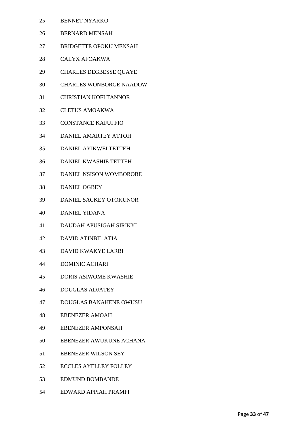- BENNET NYARKO
- BERNARD MENSAH
- BRIDGETTE OPOKU MENSAH
- CALYX AFOAKWA
- CHARLES DEGBESSE QUAYE
- CHARLES WONBORGE NAADOW
- CHRISTIAN KOFI TANNOR
- CLETUS AMOAKWA
- CONSTANCE KAFUI FIO
- DANIEL AMARTEY ATTOH
- DANIEL AYIKWEI TETTEH
- DANIEL KWASHIE TETTEH
- DANIEL NSISON WOMBOROBE
- DANIEL OGBEY
- DANIEL SACKEY OTOKUNOR
- DANIEL YIDANA
- DAUDAH APUSIGAH SIRIKYI
- DAVID ATINBIL ATIA
- DAVID KWAKYE LARBI
- DOMINIC ACHARI
- DORIS ASIWOME KWASHIE
- DOUGLAS ADJATEY
- DOUGLAS BANAHENE OWUSU
- EBENEZER AMOAH
- EBENEZER AMPONSAH
- EBENEZER AWUKUNE ACHANA
- EBENEZER WILSON SEY
- ECCLES AYELLEY FOLLEY
- EDMUND BOMBANDE
- EDWARD APPIAH PRAMFI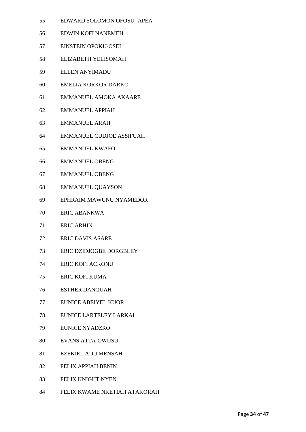- EDWARD SOLOMON OFOSU- APEA
- EDWIN KOFI NANEMEH
- EINSTEIN OPOKU-OSEI
- ELIZABETH YELISOMAH
- ELLEN ANYIMADU
- EMELIA KORKOR DARKO
- EMMANUEL AMOKA AKAARE
- EMMANUEL APPIAH
- EMMANUEL ARAH
- EMMANUEL CUDJOE ASSIFUAH
- EMMANUEL KWAFO
- EMMANUEL OBENG
- EMMANUEL OBENG
- EMMANUEL QUAYSON
- EPHRAIM MAWUNU NYAMEDOR
- ERIC ABANKWA
- ERIC ARHIN
- ERIC DAVIS ASARE
- ERIC DZIDJOGBE DORGBLEY
- ERIC KOFI ACKONU
- ERIC KOFI KUMA
- ESTHER DANQUAH
- EUNICE ABEIYEL KUOR
- EUNICE LARTELEY LARKAI
- EUNICE NYADZRO
- EVANS ATTA-OWUSU
- EZEKIEL ADU MENSAH
- FELIX APPIAH BENIN
- FELIX KNIGHT NYEN
- FELIX KWAME NKETIAH ATAKORAH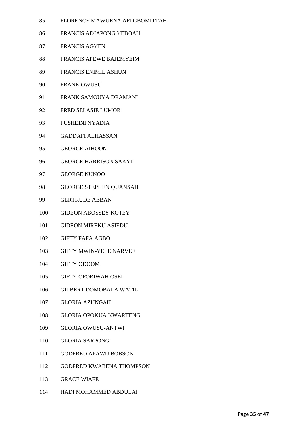- FLORENCE MAWUENA AFI GBOMITTAH
- FRANCIS ADJAPONG YEBOAH
- FRANCIS AGYEN
- FRANCIS APEWE BAJEMYEIM
- FRANCIS ENIMIL ASHUN
- FRANK OWUSU
- FRANK SAMOUYA DRAMANI
- FRED SELASIE LUMOR
- FUSHEINI NYADIA
- GADDAFI ALHASSAN
- GEORGE AIHOON
- GEORGE HARRISON SAKYI
- GEORGE NUNOO
- GEORGE STEPHEN QUANSAH
- GERTRUDE ABBAN
- GIDEON ABOSSEY KOTEY
- GIDEON MIREKU ASIEDU
- GIFTY FAFA AGBO
- GIFTY MWIN-YELE NARVEE
- GIFTY ODOOM
- GIFTY OFORIWAH OSEI
- GILBERT DOMOBALA WATIL
- GLORIA AZUNGAH
- GLORIA OPOKUA KWARTENG
- GLORIA OWUSU-ANTWI
- GLORIA SARPONG
- GODFRED APAWU BOBSON
- GODFRED KWABENA THOMPSON
- GRACE WIAFE
- HADI MOHAMMED ABDULAI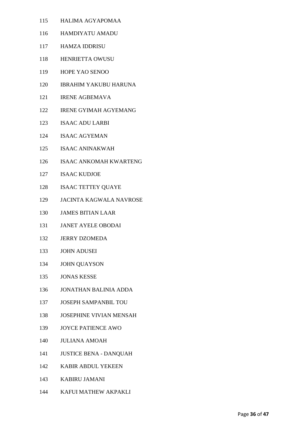- HALIMA AGYAPOMAA
- HAMDIYATU AMADU
- HAMZA IDDRISU
- HENRIETTA OWUSU
- HOPE YAO SENOO
- IBRAHIM YAKUBU HARUNA
- IRENE AGBEMAVA
- IRENE GYIMAH AGYEMANG
- ISAAC ADU LARBI
- ISAAC AGYEMAN
- ISAAC ANINAKWAH
- ISAAC ANKOMAH KWARTENG
- ISAAC KUDJOE
- ISAAC TETTEY QUAYE
- JACINTA KAGWALA NAVROSE
- JAMES BITIAN LAAR
- JANET AYELE OBODAI
- JERRY DZOMEDA
- JOHN ADUSEI
- JOHN QUAYSON
- JONAS KESSE
- JONATHAN BALINIA ADDA
- JOSEPH SAMPANBIL TOU
- JOSEPHINE VIVIAN MENSAH
- JOYCE PATIENCE AWO
- JULIANA AMOAH
- JUSTICE BENA DANQUAH
- KABIR ABDUL YEKEEN
- KABIRU JAMANI
- KAFUI MATHEW AKPAKLI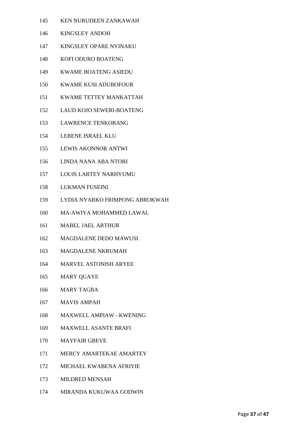- KEN NURUDEEN ZANKAWAH
- KINGSLEY ANDOH
- KINGSLEY OPARE NYINAKU
- KOFI ODURO BOATENG
- KWAME BOATENG ASIEDU
- KWAME KUSI ADUBOFOUR
- KWAME TETTEY MANKATTAH
- LAUD KOJO SEWERI-BOATENG
- LAWRENCE TENKORANG
- LEBENE ISRAEL KLU
- LEWIS AKONNOR ANTWI
- LINDA NANA ABA NTORI
- LOUIS LARTEY NARHYUMU
- LUKMAN FUSEINI
- LYDIA NYARKO FRIMPONG ABROKWAH
- MA-AWIYA MOHAMMED LAWAL
- MABEL JAEL ARTHUR
- MAGDALENE DEDO MAWUSI
- MAGDALENE NKRUMAH
- MARVEL ASTONISH ARYEE
- MARY QUAYE
- MARY TAGBA
- MAVIS AMPAH
- MAXWELL AMPIAW KWENING
- MAXWELL ASANTE BRAFI
- MAYFAIR GBEVE
- MERCY AMARTEKAE AMARTEY
- MICHAEL KWABENA AFRIYIE
- MILDRED MENSAH
- MIRANDA KUKUWAA GODWIN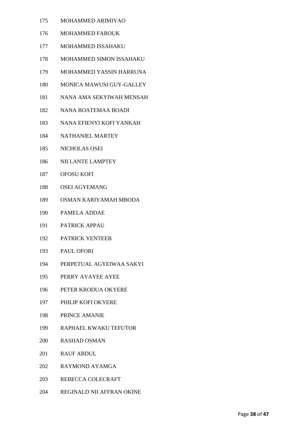- MOHAMMED ARIMIYAO
- MOHAMMED FAROUK
- MOHAMMED ISSAHAKU
- MOHAMMED SIMON ISSAHAKU
- MOHAMMED YASSIN HARRUNA
- MONICA MAWUSI GUY-GALLEY
- NANA AMA SEKYIWAH MENSAH
- NANA BOATEMAA BOADI
- NANA EFIENYI KOFI YANKAH
- NATHANIEL MARTEY
- NICHOLAS OSEI
- NII LANTE LAMPTEY
- OFOSU KOFI
- OSEI AGYEMANG
- OSMAN KARIYAMAH MBODA
- PAMELA ADDAE
- PATRICK APPAU
- PATRICK YENTEEB
- PAUL OFORI
- PERPETUAL AGYEIWAA SAKYI
- PERRY AYAYEE AYEE
- PETER KRODUA OKYERE
- PHILIP KOFI OKYERE
- PRINCE AMANIE
- RAPHAEL KWAKU TEFUTOR
- RASHAD OSMAN
- RAUF ABDUL
- RAYMOND AYAMGA
- REBECCA COLECRAFT
- REGINALD NII AFFRAN OKINE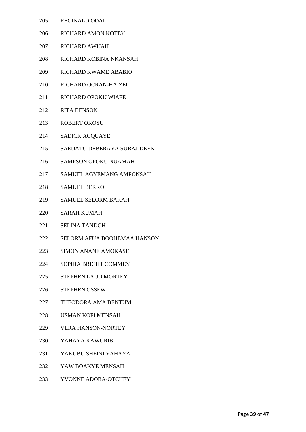- REGINALD ODAI
- RICHARD AMON KOTEY
- RICHARD AWUAH
- RICHARD KOBINA NKANSAH
- RICHARD KWAME ABABIO
- RICHARD OCRAN-HAIZEL
- RICHARD OPOKU WIAFE
- RITA BENSON
- ROBERT OKOSU
- SADICK ACQUAYE
- SAEDATU DEBERAYA SURAJ-DEEN
- SAMPSON OPOKU NUAMAH
- SAMUEL AGYEMANG AMPONSAH
- SAMUEL BERKO
- SAMUEL SELORM BAKAH
- SARAH KUMAH
- SELINA TANDOH
- SELORM AFUA BOOHEMAA HANSON
- SIMON ANANE AMOKASE
- SOPHIA BRIGHT COMMEY
- STEPHEN LAUD MORTEY
- STEPHEN OSSEW
- THEODORA AMA BENTUM
- USMAN KOFI MENSAH
- VERA HANSON-NORTEY
- YAHAYA KAWURIBI
- YAKUBU SHEINI YAHAYA
- YAW BOAKYE MENSAH
- YVONNE ADOBA-OTCHEY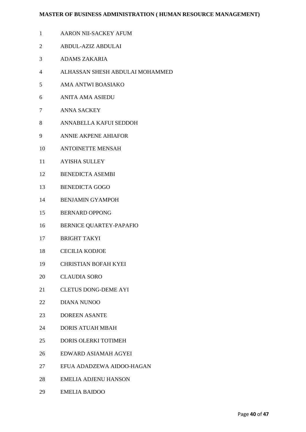#### **MASTER OF BUSINESS ADMINISTRATION ( HUMAN RESOURCE MANAGEMENT)**

- AARON NII-SACKEY AFUM
- ABDUL-AZIZ ABDULAI
- ADAMS ZAKARIA
- ALHASSAN SHESH ABDULAI MOHAMMED
- AMA ANTWI BOASIAKO
- ANITA AMA ASIEDU
- ANNA SACKEY
- ANNABELLA KAFUI SEDDOH
- ANNIE AKPENE AHIAFOR
- ANTOINETTE MENSAH
- AYISHA SULLEY
- BENEDICTA ASEMBI
- BENEDICTA GOGO
- BENJAMIN GYAMPOH
- BERNARD OPPONG
- BERNICE QUARTEY-PAPAFIO
- BRIGHT TAKYI
- CECILIA KODJOE
- CHRISTIAN BOFAH KYEI
- CLAUDIA SORO
- CLETUS DONG-DEME AYI
- DIANA NUNOO
- DOREEN ASANTE
- DORIS ATUAH MBAH
- DORIS OLERKI TOTIMEH
- EDWARD ASIAMAH AGYEI
- EFUA ADADZEWA AIDOO-HAGAN
- EMELIA ADJENU HANSON
- EMELIA BAIDOO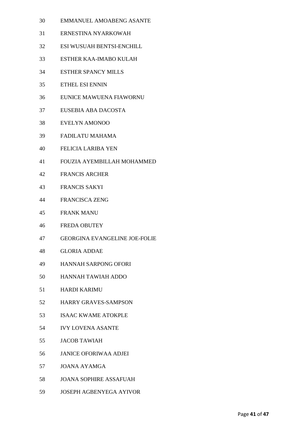- EMMANUEL AMOABENG ASANTE
- ERNESTINA NYARKOWAH
- ESI WUSUAH BENTSI-ENCHILL
- ESTHER KAA-IMABO KULAH
- ESTHER SPANCY MILLS
- ETHEL ESI ENNIN
- EUNICE MAWUENA FIAWORNU
- EUSEBIA ABA DACOSTA
- EVELYN AMONOO
- FADILATU MAHAMA
- FELICIA LARIBA YEN
- FOUZIA AYEMBILLAH MOHAMMED
- FRANCIS ARCHER
- FRANCIS SAKYI
- FRANCISCA ZENG
- FRANK MANU
- FREDA OBUTEY
- GEORGINA EVANGELINE JOE-FOLIE
- GLORIA ADDAE
- HANNAH SARPONG OFORI
- HANNAH TAWIAH ADDO
- HARDI KARIMU
- HARRY GRAVES-SAMPSON
- ISAAC KWAME ATOKPLE
- IVY LOVENA ASANTE
- JACOB TAWIAH
- JANICE OFORIWAA ADJEI
- JOANA AYAMGA
- JOANA SOPHIRE ASSAFUAH
- JOSEPH AGBENYEGA AYIVOR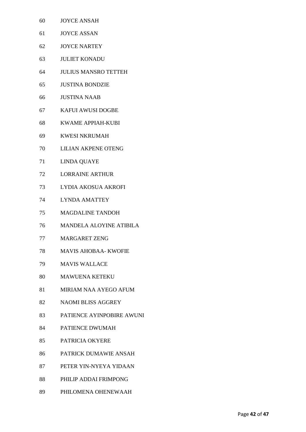- JOYCE ANSAH
- JOYCE ASSAN
- JOYCE NARTEY
- JULIET KONADU
- JULIUS MANSRO TETTEH
- JUSTINA BONDZIE
- JUSTINA NAAB
- KAFUI AWUSI DOGBE
- KWAME APPIAH-KUBI
- KWESI NKRUMAH
- LILIAN AKPENE OTENG
- LINDA QUAYE
- LORRAINE ARTHUR
- LYDIA AKOSUA AKROFI
- LYNDA AMATTEY
- MAGDALINE TANDOH
- MANDELA ALOYINE ATIBILA
- MARGARET ZENG
- MAVIS AHOBAA- KWOFIE
- MAVIS WALLACE
- MAWUENA KETEKU
- MIRIAM NAA AYEGO AFUM
- NAOMI BLISS AGGREY
- PATIENCE AYINPOBIRE AWUNI
- PATIENCE DWUMAH
- PATRICIA OKYERE
- PATRICK DUMAWIE ANSAH
- PETER YIN-NYEYA YIDAAN
- PHILIP ADDAI FRIMPONG
- PHILOMENA OHENEWAAH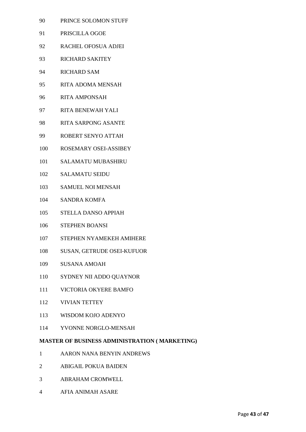- PRINCE SOLOMON STUFF
- PRISCILLA OGOE
- RACHEL OFOSUA ADJEI
- RICHARD SAKITEY
- RICHARD SAM
- RITA ADOMA MENSAH
- RITA AMPONSAH
- RITA BENEWAH YALI
- RITA SARPONG ASANTE
- ROBERT SENYO ATTAH
- ROSEMARY OSEI-ASSIBEY
- SALAMATU MUBASHIRU
- SALAMATU SEIDU
- SAMUEL NOI MENSAH
- SANDRA KOMFA
- STELLA DANSO APPIAH
- STEPHEN BOANSI
- STEPHEN NYAMEKEH AMIHERE
- SUSAN, GETRUDE OSEI-KUFUOR
- SUSANA AMOAH
- SYDNEY NII ADDO QUAYNOR
- VICTORIA OKYERE BAMFO
- VIVIAN TETTEY
- WISDOM KOJO ADENYO
- YVONNE NORGLO-MENSAH

# **MASTER OF BUSINESS ADMINISTRATION ( MARKETING)**

- AARON NANA BENYIN ANDREWS
- ABIGAIL POKUA BAIDEN
- ABRAHAM CROMWELL
- AFIA ANIMAH ASARE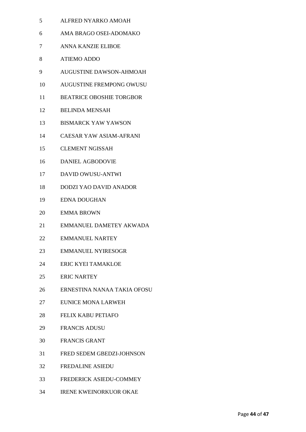- ALFRED NYARKO AMOAH
- AMA BRAGO OSEI-ADOMAKO
- ANNA KANZIE ELIBOE
- ATIEMO ADDO
- AUGUSTINE DAWSON-AHMOAH
- AUGUSTINE FREMPONG OWUSU
- BEATRICE OBOSHIE TORGBOR
- BELINDA MENSAH
- BISMARCK YAW YAWSON
- CAESAR YAW ASIAM-AFRANI
- CLEMENT NGISSAH
- DANIEL AGBODOVIE
- DAVID OWUSU-ANTWI
- DODZI YAO DAVID ANADOR
- EDNA DOUGHAN
- EMMA BROWN
- EMMANUEL DAMETEY AKWADA
- EMMANUEL NARTEY
- EMMANUEL NYIRESOGR
- ERIC KYEI TAMAKLOE
- ERIC NARTEY
- ERNESTINA NANAA TAKIA OFOSU
- EUNICE MONA LARWEH
- FELIX KABU PETIAFO
- FRANCIS ADUSU
- FRANCIS GRANT
- FRED SEDEM GBEDZI-JOHNSON
- FREDALINE ASIEDU
- FREDERICK ASIEDU-COMMEY
- IRENE KWEINORKUOR OKAE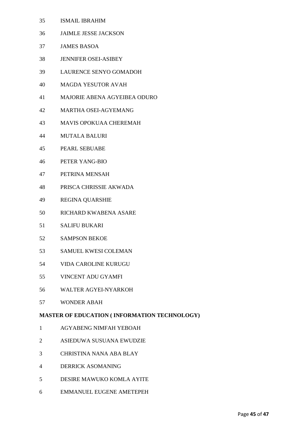- ISMAIL IBRAHIM
- JAIMLE JESSE JACKSON
- JAMES BASOA
- JENNIFER OSEI-ASIBEY
- LAURENCE SENYO GOMADOH
- MAGDA YESUTOR AVAH
- MAJORIE ABENA AGYEIBEA ODURO
- MARTHA OSEI-AGYEMANG
- MAVIS OPOKUAA CHEREMAH
- MUTALA BALURI
- PEARL SEBUABE
- PETER YANG-BIO
- PETRINA MENSAH
- PRISCA CHRISSIE AKWADA
- REGINA QUARSHIE
- RICHARD KWABENA ASARE
- SALIFU BUKARI
- SAMPSON BEKOE
- SAMUEL KWESI COLEMAN
- VIDA CAROLINE KURUGU
- VINCENT ADU GYAMFI
- WALTER AGYEI-NYARKOH
- WONDER ABAH

# **MASTER OF EDUCATION ( INFORMATION TECHNOLOGY)**

- AGYABENG NIMFAH YEBOAH
- ASIEDUWA SUSUANA EWUDZIE
- CHRISTINA NANA ABA BLAY
- DERRICK ASOMANING
- DESIRE MAWUKO KOMLA AYITE
- EMMANUEL EUGENE AMETEPEH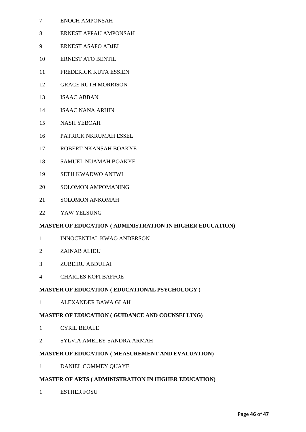- ENOCH AMPONSAH
- ERNEST APPAU AMPONSAH
- ERNEST ASAFO ADJEI
- ERNEST ATO BENTIL
- FREDERICK KUTA ESSIEN
- GRACE RUTH MORRISON
- ISAAC ABBAN
- ISAAC NANA ARHIN
- NASH YEBOAH
- PATRICK NKRUMAH ESSEL
- ROBERT NKANSAH BOAKYE
- SAMUEL NUAMAH BOAKYE
- SETH KWADWO ANTWI
- SOLOMON AMPOMANING
- SOLOMON ANKOMAH
- YAW YELSUNG

# **MASTER OF EDUCATION ( ADMINISTRATION IN HIGHER EDUCATION)**

- INNOCENTIAL KWAO ANDERSON
- ZAINAB ALIDU
- ZUBEIRU ABDULAI
- CHARLES KOFI BAFFOE

# **MASTER OF EDUCATION ( EDUCATIONAL PSYCHOLOGY )**

ALEXANDER BAWA GLAH

# **MASTER OF EDUCATION ( GUIDANCE AND COUNSELLING)**

- CYRIL BEJALE
- SYLVIA AMELEY SANDRA ARMAH

# **MASTER OF EDUCATION ( MEASUREMENT AND EVALUATION)**

DANIEL COMMEY QUAYE

# **MASTER OF ARTS ( ADMINISTRATION IN HIGHER EDUCATION)**

ESTHER FOSU